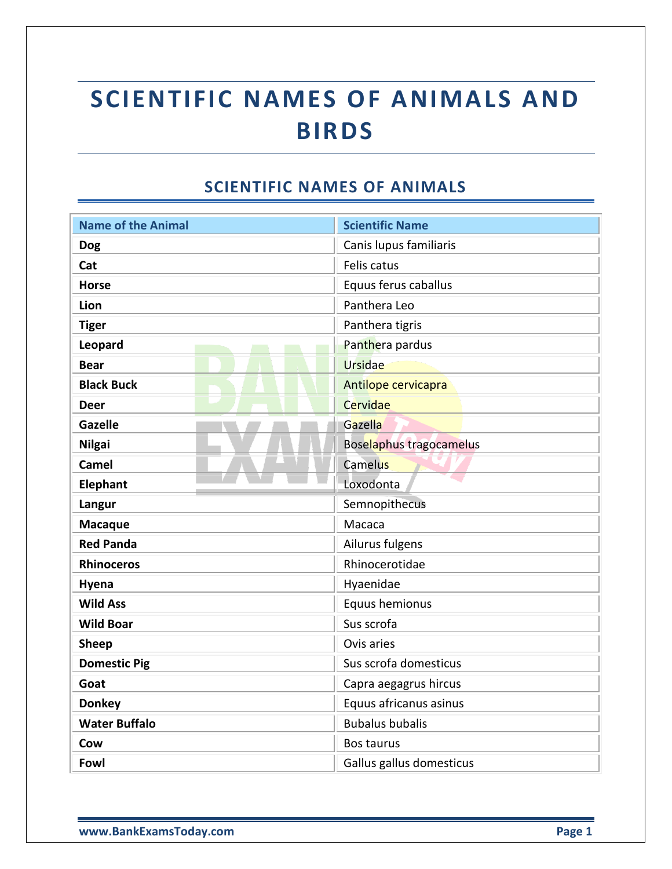## **SCIENTIFIC NAMES OF ANIMALS AND BIRDS**

## **SCIENTIFIC NAMES OF ANIMALS**

| <b>Name of the Animal</b> | <b>Scientific Name</b>         |
|---------------------------|--------------------------------|
| <b>Dog</b>                | Canis lupus familiaris         |
| Cat                       | Felis catus                    |
|                           |                                |
| <b>Horse</b>              | Equus ferus caballus           |
| Lion                      | Panthera Leo                   |
| <b>Tiger</b>              | Panthera tigris                |
| Leopard                   | Panthera pardus                |
| <b>Bear</b>               | <b>Ursidae</b>                 |
| <b>Black Buck</b>         | Antilope cervicapra            |
| Deer                      | Cervidae                       |
| <b>Gazelle</b>            | Gazella                        |
| <b>Nilgai</b>             | <b>Boselaphus tragocamelus</b> |
| <b>Camel</b>              | Camelus                        |
| Elephant                  | Loxodonta                      |
| Langur                    | Semnopithecus                  |
| <b>Macaque</b>            | Macaca                         |
| <b>Red Panda</b>          | Ailurus fulgens                |
| <b>Rhinoceros</b>         | Rhinocerotidae                 |
| Hyena                     | Hyaenidae                      |
| <b>Wild Ass</b>           | Equus hemionus                 |
| <b>Wild Boar</b>          | Sus scrofa                     |
| <b>Sheep</b>              | Ovis aries                     |
| <b>Domestic Pig</b>       | Sus scrofa domesticus          |
| Goat                      | Capra aegagrus hircus          |
| <b>Donkey</b>             | Equus africanus asinus         |
| <b>Water Buffalo</b>      | <b>Bubalus bubalis</b>         |
| Cow                       | Bos taurus                     |
| Fowl                      | Gallus gallus domesticus       |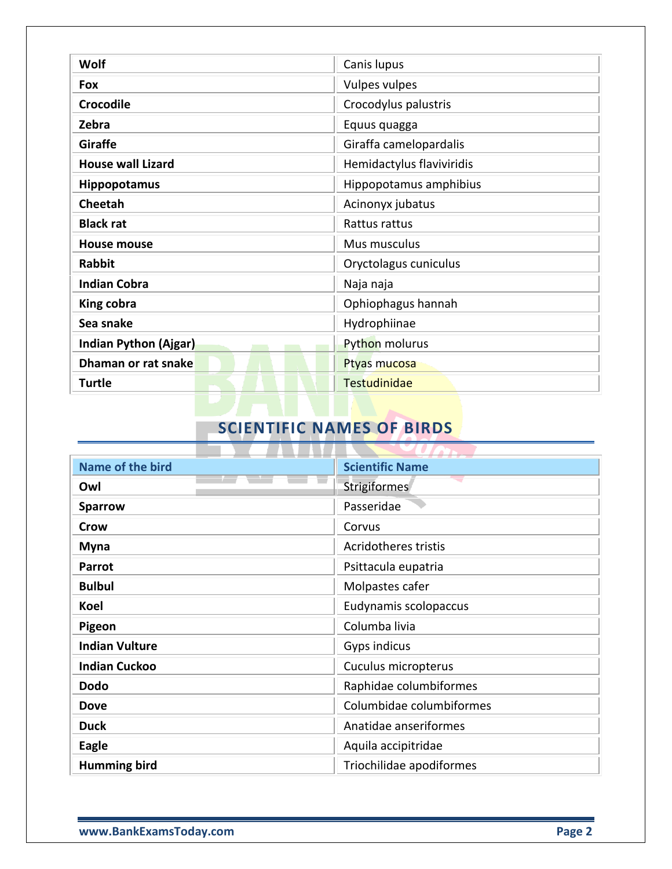| Wolf                         | Canis lupus               |
|------------------------------|---------------------------|
| Fox                          | <b>Vulpes vulpes</b>      |
| <b>Crocodile</b>             | Crocodylus palustris      |
| Zebra                        | Equus quagga              |
| <b>Giraffe</b>               | Giraffa camelopardalis    |
| <b>House wall Lizard</b>     | Hemidactylus flaviviridis |
| <b>Hippopotamus</b>          | Hippopotamus amphibius    |
| <b>Cheetah</b>               | Acinonyx jubatus          |
| <b>Black rat</b>             | Rattus rattus             |
| <b>House mouse</b>           | Mus musculus              |
| <b>Rabbit</b>                | Oryctolagus cuniculus     |
| <b>Indian Cobra</b>          | Naja naja                 |
| King cobra                   | Ophiophagus hannah        |
| Sea snake                    | Hydrophiinae              |
| <b>Indian Python (Ajgar)</b> | Python molurus            |
| Dhaman or rat snake          | Ptyas mucosa              |
| <b>Turtle</b>                | <b>Testudinidae</b>       |

## **SCIENTIFIC NAMES OF BIRDS**

| Name of the bird      | <b>Scientific Name</b>      |
|-----------------------|-----------------------------|
| Owl                   | Strigiformes                |
| <b>Sparrow</b>        | Passeridae                  |
| Crow                  | Corvus                      |
| <b>Myna</b>           | <b>Acridotheres tristis</b> |
| Parrot                | Psittacula eupatria         |
| <b>Bulbul</b>         | Molpastes cafer             |
| Koel                  | Eudynamis scolopaccus       |
| Pigeon                | Columba livia               |
| <b>Indian Vulture</b> | Gyps indicus                |
| <b>Indian Cuckoo</b>  | Cuculus micropterus         |
| <b>Dodo</b>           | Raphidae columbiformes      |
| <b>Dove</b>           | Columbidae columbiformes    |
| <b>Duck</b>           | Anatidae anseriformes       |
| <b>Eagle</b>          | Aquila accipitridae         |
| <b>Humming bird</b>   | Triochilidae apodiformes    |